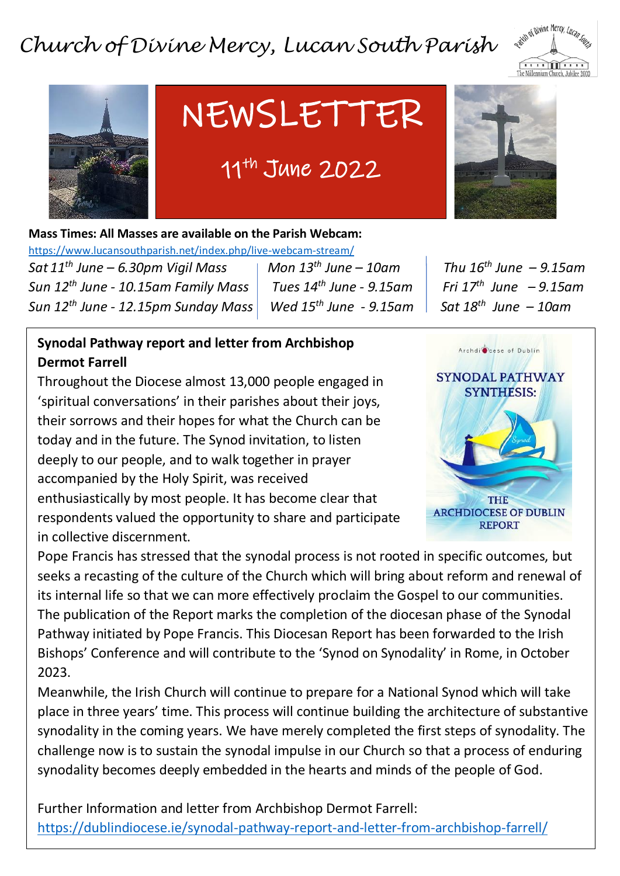## *Church of Divine Mercy, Lucan South Parish*





## NEWSLETTER

### 11th June 2022



**Mass Times: All Masses are available on the Parish Webcam:** 

<https://www.lucansouthparish.net/index.php/live-webcam-stream/><br>Sot 11th June – 6.20pm Vigil Mass and Mon 12th June

 $Sat11<sup>th</sup>$  *June*  $- 6.30$ *pm Vigil Mass*  $\longleftarrow$  *Mon*  $13<sup>th</sup>$  *June*  $- 10$ *am*  $\longleftarrow$  *Thu*  $16<sup>th</sup>$  *June*  $- 9.15$ *am*  $S$ un 12<sup>th</sup> June - 10.15am Family Mass  $\vert$  Tues 14<sup>th</sup> June - 9.15am  $S$ un 12<sup>th</sup> June - 12.15pm Sunday Mass Wed 15<sup>th</sup> June - 9.15am

 *June – 9.15am June – 10am* 

#### **Synodal Pathway report and letter from Archbishop Dermot Farrell**

Throughout the Diocese almost 13,000 people engaged in 'spiritual conversations' in their parishes about their joys, their sorrows and their hopes for what the Church can be today and in the future. The Synod invitation, to listen deeply to our people, and to walk together in prayer accompanied by the Holy Spirit, was received enthusiastically by most people. It has become clear that respondents valued the opportunity to share and participate in collective discernment.



Pope Francis has stressed that the synodal process is not rooted in specific outcomes, but seeks a recasting of the culture of the Church which will bring about reform and renewal of its internal life so that we can more effectively proclaim the Gospel to our communities. The publication of the Report marks the completion of the diocesan phase of the Synodal Pathway initiated by Pope Francis. This Diocesan Report has been forwarded to the Irish Bishops' Conference and will contribute to the 'Synod on Synodality' in Rome, in October 2023.

Meanwhile, the Irish Church will continue to prepare for a National Synod which will take place in three years' time. This process will continue building the architecture of substantive synodality in the coming years. We have merely completed the first steps of synodality. The challenge now is to sustain the synodal impulse in our Church so that a process of enduring synodality becomes deeply embedded in the hearts and minds of the people of God.

Further Information and letter from Archbishop Dermot Farrell: <https://dublindiocese.ie/synodal-pathway-report-and-letter-from-archbishop-farrell/>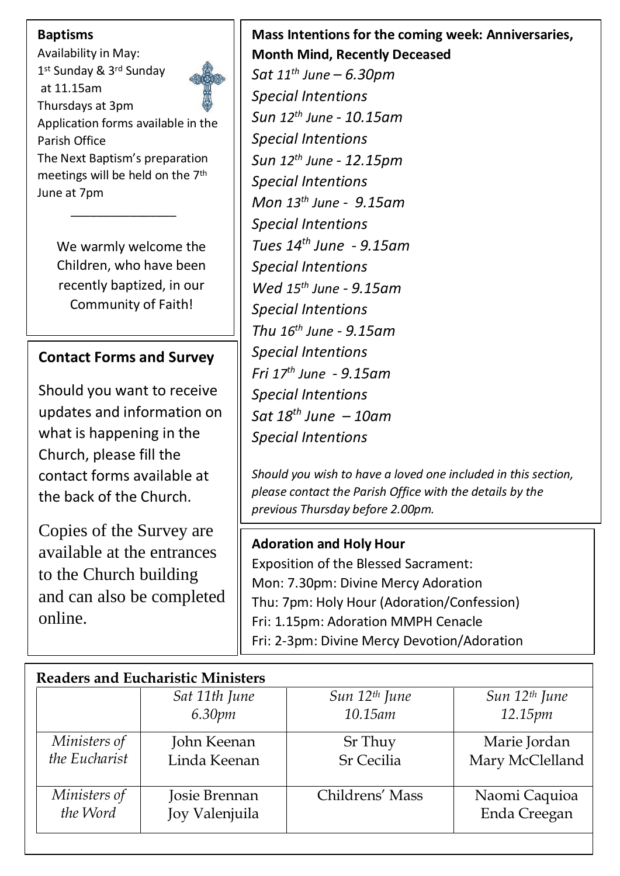#### **Baptisms**

Availability in May: 1 st Sunday & 3rd Sunday at 11.15am Thursdays at 3pm Application forms available in the Parish Office The Next Baptism's preparation meetings will be held on the 7th June at 7pm

 $\frac{1}{\sqrt{2}}$  ,  $\frac{1}{\sqrt{2}}$  ,  $\frac{1}{\sqrt{2}}$  ,  $\frac{1}{\sqrt{2}}$  ,  $\frac{1}{\sqrt{2}}$  ,  $\frac{1}{\sqrt{2}}$  ,  $\frac{1}{\sqrt{2}}$  ,  $\frac{1}{\sqrt{2}}$  ,  $\frac{1}{\sqrt{2}}$  ,  $\frac{1}{\sqrt{2}}$  ,  $\frac{1}{\sqrt{2}}$  ,  $\frac{1}{\sqrt{2}}$  ,  $\frac{1}{\sqrt{2}}$  ,  $\frac{1}{\sqrt{2}}$  ,  $\frac{1}{\sqrt{2}}$ 

We warmly welcome the Children, who have been recently baptized, in our Community of Faith!

#### **Contact Forms and Survey**

Should you want to receive updates and information on what is happening in the Church, please fill the contact forms available at the back of the Church.

Copies of the Survey are available at the entrances to the Church building and can also be completed online.

#### **Mass Intentions for the coming week: Anniversaries, Month Mind, Recently Deceased**

*Sat 11th June – 6.30pm Special Intentions Sun 12th June - 10.15am Special Intentions Sun 12th June - 12.15pm Special Intentions Mon 13th June - 9.15am Special Intentions Tues 14th June - 9.15am Special Intentions Wed 15th June - 9.15am Special Intentions Thu 16th June - 9.15am Special Intentions Fri 17th June - 9.15am Special Intentions Sat 18 th June – 10am Special Intentions*

*Should you wish to have a loved one included in this section, please contact the Parish Office with the details by the previous Thursday before 2.00pm.*

#### **Adoration and Holy Hour**

Exposition of the Blessed Sacrament: Mon: 7.30pm: Divine Mercy Adoration Thu: 7pm: Holy Hour (Adoration/Confession) Fri: 1.15pm: Adoration MMPH Cenacle Fri: 2-3pm: Divine Mercy Devotion/Adoration

| <b>Readers and Eucharistic Ministers</b> |                |                           |                           |
|------------------------------------------|----------------|---------------------------|---------------------------|
|                                          | Sat 11th June  | Sun 12 <sup>th</sup> June | Sun 12 <sup>th</sup> June |
|                                          | 6.30pm         | $10.15$ am                | 12.15pm                   |
| Ministers of                             | John Keenan    | Sr Thuy                   | Marie Jordan              |
| the Eucharist                            | Linda Keenan   | <b>Sr Cecilia</b>         | Mary McClelland           |
| Ministers of                             | Josie Brennan  | Childrens' Mass           | Naomi Caquioa             |
| the Word                                 | Joy Valenjuila |                           | Enda Creegan              |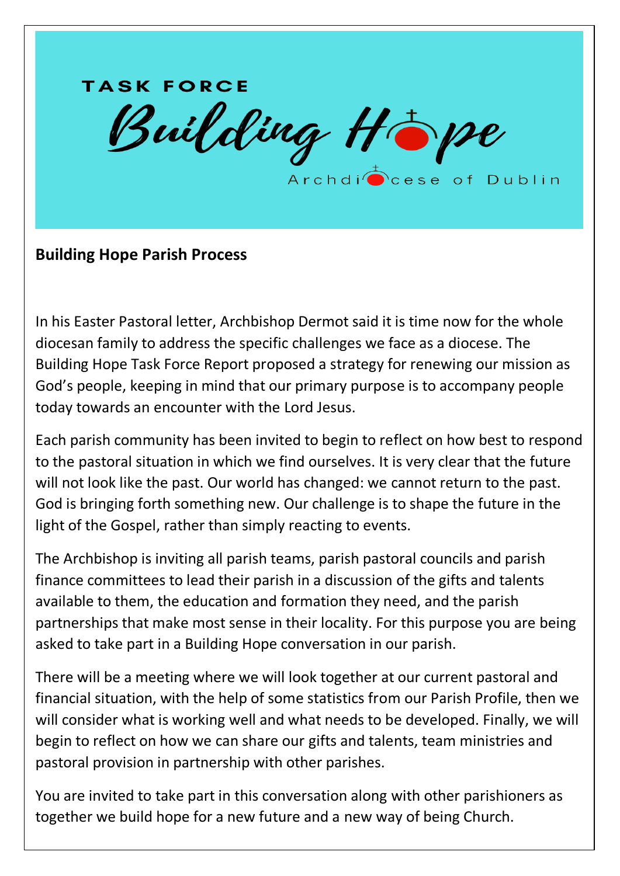# **TASK FORCE** Building Hope Archdi<sup>n</sup>cese of Dublin

#### **Building Hope Parish Process**

In his Easter Pastoral letter, Archbishop Dermot said it is time now for the whole diocesan family to address the specific challenges we face as a diocese. The Building Hope Task Force Report proposed a strategy for renewing our mission as God's people, keeping in mind that our primary purpose is to accompany people today towards an encounter with the Lord Jesus.

Each parish community has been invited to begin to reflect on how best to respond to the pastoral situation in which we find ourselves. It is very clear that the future will not look like the past. Our world has changed: we cannot return to the past. God is bringing forth something new. Our challenge is to shape the future in the light of the Gospel, rather than simply reacting to events.

The Archbishop is inviting all parish teams, parish pastoral councils and parish finance committees to lead their parish in a discussion of the gifts and talents available to them, the education and formation they need, and the parish partnerships that make most sense in their locality. For this purpose you are being asked to take part in a Building Hope conversation in our parish.

There will be a meeting where we will look together at our current pastoral and financial situation, with the help of some statistics from our Parish Profile, then we will consider what is working well and what needs to be developed. Finally, we will begin to reflect on how we can share our gifts and talents, team ministries and pastoral provision in partnership with other parishes.

You are invited to take part in this conversation along with other parishioners as together we build hope for a new future and a new way of being Church.